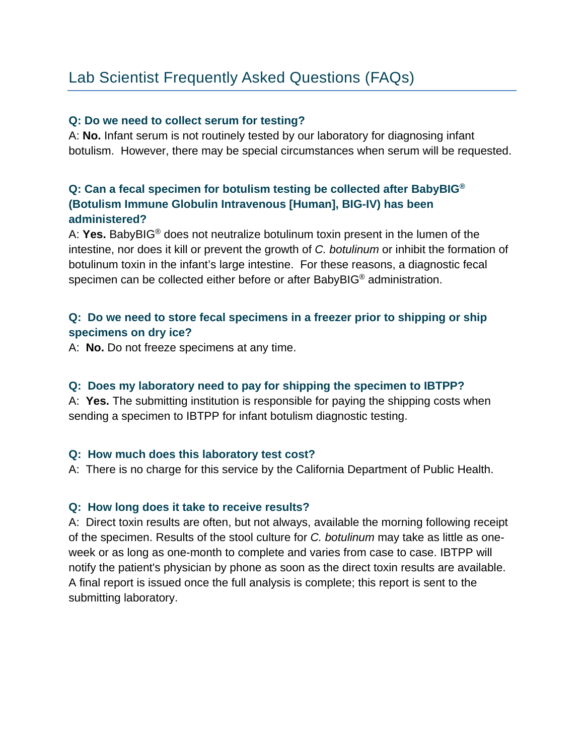# Lab Scientist Frequently Asked Questions (FAQs)

#### **Q: Do we need to collect serum for testing?**

A: **No.** Infant serum is not routinely tested by our laboratory for diagnosing infant botulism. However, there may be special circumstances when serum will be requested.

# **Q: Can a fecal specimen for botulism testing be collected after BabyBIG® (Botulism Immune Globulin Intravenous [Human], BIG-IV) has been administered?**

A: **Yes.** BabyBIG® does not neutralize botulinum toxin present in the lumen of the intestine, nor does it kill or prevent the growth of *C. botulinum* or inhibit the formation of botulinum toxin in the infant's large intestine. For these reasons, a diagnostic fecal specimen can be collected either before or after BabyBIG® administration.

## **Q: Do we need to store fecal specimens in a freezer prior to shipping or ship specimens on dry ice?**

A: **No.** Do not freeze specimens at any time.

#### **Q: Does my laboratory need to pay for shipping the specimen to IBTPP?**

A: **Yes.** The submitting institution is responsible for paying the shipping costs when sending a specimen to IBTPP for infant botulism diagnostic testing.

#### **Q: How much does this laboratory test cost?**

A: There is no charge for this service by the California Department of Public Health.

#### **Q: How long does it take to receive results?**

A: Direct toxin results are often, but not always, available the morning following receipt of the specimen. Results of the stool culture for *C. botulinum* may take as little as oneweek or as long as one-month to complete and varies from case to case. IBTPP will notify the patient's physician by phone as soon as the direct toxin results are available. A final report is issued once the full analysis is complete; this report is sent to the submitting laboratory.